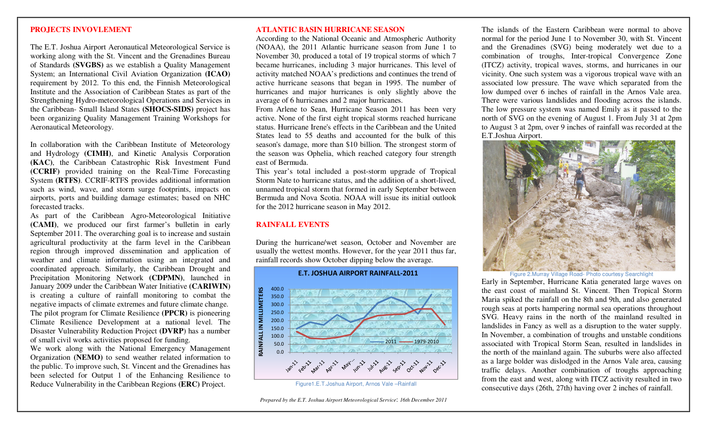#### **PROJECTS INVOVLEMENT**

The E.T. Joshua Airport Aeronautical Meteorological Service is working along with the St. Vincent and the Grenadines Bureau of Standards **(SVGBS)** as we establish a Quality Management System; an International Civil Aviation Organization **(ICAO)**  requirement by 2012. To this end, the Finnish Meteorological Institute and the Association of Caribbean States as part of the Strengthening Hydro-meteorological Operations and Services in the Caribbean- Small Island States **(SHOCS-SIDS)** project has been organizing Quality Management Training Workshops for Aeronautical Meteorology.

In collaboration with the Caribbean Institute of Meteorology and Hydrology **(CIMH)**, and Kinetic Analysis Corporation **(KAC)**, the Caribbean Catastrophic Risk Investment Fund **(CCRIF)** provided training on the Real-Time Forecasting System **(RTFS)**. CCRIF-RTFS provides additional information such as wind, wave, and storm surge footprints, impacts on airports, ports and building damage estimates; based on NHC forecasted tracks.

 As part of the Caribbean Agro-Meteorological Initiative **(CAMI)**, we produced our first farmer's bulletin in early September 2011. The overarching goal is to increase and sustain agricultural productivity at the farm level in the Caribbean region through improved dissemination and application of weather and climate information using an integrated and coordinated approach. Similarly, the Caribbean Drought and Precipitation Monitoring Network **(CDPMN)**, launched in January 2009 under the Caribbean Water Initiative **(CARIWIN)**  is creating a culture of rainfall monitoring to combat the negative impacts of climate extremes and future climate change. The pilot program for Climate Resilience **(PPCR)** is pioneering Climate Resilience Development at a national level. The Disaster Vulnerability Reduction Project **(DVRP**) has a number of small civil works activities proposed for funding.

 We work along with the National Emergency Management Organization **(NEMO)** to send weather related information to the public. To improve such, St. Vincent and the Grenadines has been selected for Output 1 of the Enhancing Resilience to Reduce Vulnerability in the Caribbean Regions **(ERC)** Project.

### **ATLANTIC BASIN HURRICANE SEASON**

 According to the National Oceanic and Atmospheric Authority (NOAA), the 2011 Atlantic hurricane season from June 1 to November 30, produced a total of 19 tropical storms of which 7 became hurricanes, including 3 major hurricanes. This level of activity matched NOAA's predictions and continues the trend of active hurricane seasons that began in 1995. The number of hurricanes and major hurricanes is only slightly above the average of 6 hurricanes and 2 major hurricanes.

 From Arlene to Sean, Hurricane Season 2011 has been very active. None of the first eight tropical storms reached hurricane status. Hurricane Irene's effects in the Caribbean and the United States lead to 55 deaths and accounted for the bulk of this season's damage, more than \$10 billion. The strongest storm of the season was Ophelia, which reached category four strength east of Bermuda.

 This year's total included a post-storm upgrade of Tropical Storm Nate to hurricane status, and the addition of a short-lived, unnamed tropical storm that formed in early September between Bermuda and Nova Scotia. NOAA will issue its initial outlook for the 2012 hurricane season in May 2012.

# **RAINFALL EVENTS**

During the hurricane/wet season, October and November are usually the wettest months. However, for the year 2011 thus far, rainfall records show October dipping below the average.



The islands of the Eastern Caribbean were normal to above normal for the period June 1 to November 30, with St. Vincent and the Grenadines (SVG) being moderately wet due to a combination of troughs, Inter-tropical Convergence Zone (ITCZ) activity, tropical waves, storms, and hurricanes in our vicinity. One such system was a vigorous tropical wave with an associated low pressure. The wave which separated from the low dumped over 6 inches of rainfall in the Arnos Vale area. There were various landslides and flooding across the islands. The low pressure system was named Emily as it passed to the north of SVG on the evening of August 1. From July 31 at 2pm to August 3 at 2pm, over 9 inches of rainfall was recorded at the E.T.Joshua Airport.



Figure 2.Murray Village Road- Photo courtesy Searchlight

 Early in September, Hurricane Katia generated large waves on the east coast of mainland St. Vincent. Then Tropical Storm Maria spiked the rainfall on the 8th and 9th, and also generated rough seas at ports hampering normal sea operations throughout SVG. Heavy rains in the north of the mainland resulted in landslides in Fancy as well as a disruption to the water supply. In November, a combination of troughs and unstable conditions associated with Tropical Storm Sean, resulted in landslides in the north of the mainland again. The suburbs were also affected as a large bolder was dislodged in the Arnos Vale area, causing traffic delays. Another combination of troughs approaching from the east and west, along with ITCZ activity resulted in two consecutive days (26th, 27th) having over 2 inches of rainfall.